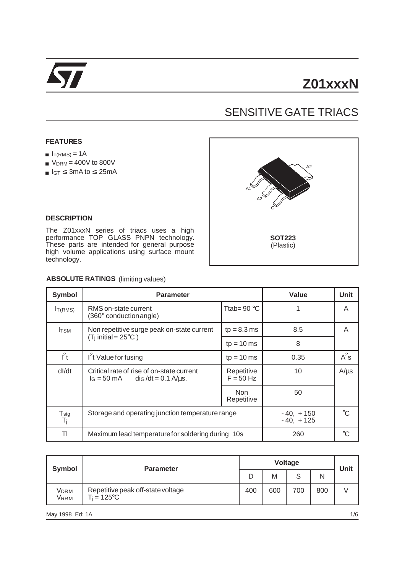

# SENSITIVE GATE TRIACS

#### **FEATURES**

- $I_{T(RMS)} = 1A$
- $V<sub>DRM</sub> = 400V$  to 800V
- $I_{GT} \leq 3$ mA to  $\leq 25$ mA



#### **DESCRIPTION**

The Z01xxxN series of triacs uses a high performance TOP GLASS PNPN technology. These parts are intended for general purpose high volume applications using surface mount technology.

#### **ABSOLUTE RATINGS** (limiting values)

| Symbol                 | <b>Parameter</b>                                                                      | Value                      | Unit        |           |
|------------------------|---------------------------------------------------------------------------------------|----------------------------|-------------|-----------|
| I <sub>T(RMS)</sub>    | RMS on-state current<br>$(360^{\circ}$ conduction angle)                              | Ttab= $90^{\circ}$ C       |             | A         |
| <b>I</b> TSM           | Non repetitive surge peak on-state current                                            | $tp = 8.3$ ms              | 8.5         | A         |
|                        | $(T_i$ initial = 25°C)                                                                | $tp = 10$ ms               | 8           |           |
| $l^2t$                 | $I2t$ Value for fusing                                                                | $tp = 10$ ms               | 0.35        | $A^2s$    |
| dl/dt                  | Critical rate of rise of on-state current<br>$I_G = 50 \text{ mA}$ dig/dt = 0.1 A/us. | Repetitive<br>$F = 50$ Hz  |             | $A/\mu s$ |
|                        |                                                                                       | Non<br>Repetitive          | 50          |           |
| $T_{\text{stg}}$<br>Tj | Storage and operating junction temperature range                                      | $-40, +150$<br>$-40, +125$ | $^{\circ}C$ |           |
| TI                     | Maximum lead temperature for soldering during 10s                                     | 260                        | $^{\circ}C$ |           |

| Symbol                   | <b>Parameter</b>                                    |     | Unit |     |     |  |
|--------------------------|-----------------------------------------------------|-----|------|-----|-----|--|
|                          |                                                     |     | M    | c   | Ν   |  |
| Vdrm<br>V <sub>RRM</sub> | Repetitive peak off-state voltage<br>$T_i = 125$ °C | 400 | 600  | 700 | 800 |  |

May 1998 Ed: 1A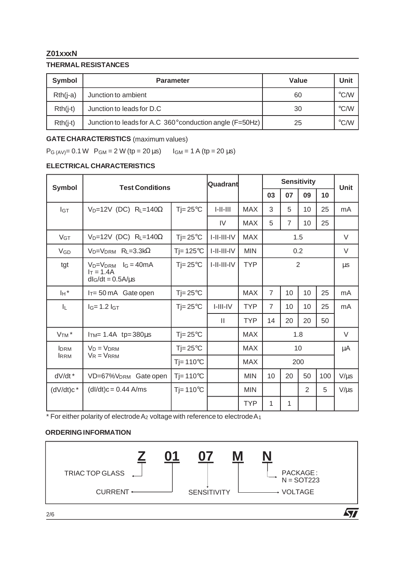# **Z01xxxN**

# **THERMAL RESISTANCES**

| Symbol     | <b>Parameter</b>                                         | Value | Unit                    |
|------------|----------------------------------------------------------|-------|-------------------------|
| $Rth(i-a)$ | Junction to ambient                                      | 60    | $\mathrm{C}/\mathrm{W}$ |
| $Rth(i-t)$ | Junction to leads for D.C                                | 30    | $\degree$ C/W           |
| $Rth(i-t)$ | Junction to leads for A.C 360° conduction angle (F=50Hz) | 25    | $\mathrm{C}/\mathrm{W}$ |

# **GATE CHARACTERISTICS** (maximum values)

 $P_{G (AV)} = 0.1 W$   $P_{GM} = 2 W (tp = 20 \,\mu s)$   $I_{GM} = 1 A (tp = 20 \,\mu s)$ 

# **ELECTRICAL CHARACTERISTICS**

| <b>Symbol</b>         | <b>Test Conditions</b>                                               |                    | Quadrant      |            | <b>Sensitivity</b> |                |                 |         | <b>Unit</b> |
|-----------------------|----------------------------------------------------------------------|--------------------|---------------|------------|--------------------|----------------|-----------------|---------|-------------|
|                       |                                                                      |                    |               |            | 03                 | 07             | 09              | 10      |             |
| $I_{GT}$              | $V_D=12V$ (DC) $R_L=140\Omega$                                       | $T = 25^{\circ}C$  | $I-II-III$    | <b>MAX</b> | 3                  | 5              | 10 <sup>1</sup> | 25      | mA          |
|                       |                                                                      |                    | IV            | <b>MAX</b> | 5                  | $\overline{7}$ | 10              | 25      |             |
| V <sub>GT</sub>       | $V_D=12V$ (DC) R <sub>L</sub> =140 $\Omega$                          | $Tj = 25^{\circ}C$ | $I-II-III-IV$ | <b>MAX</b> | 1.5                |                |                 | V       |             |
| <b>V<sub>GD</sub></b> | $V_D=V_{DRM}$ R <sub>L</sub> =3.3k $\Omega$                          | $Ti=125^{\circ}C$  | I-II-III-IV   | <b>MIN</b> | 0.2                |                |                 | V       |             |
| tgt                   | $V_D=V_{DRM}$ $I_G = 40mA$<br>$I_T = 1.4A$<br>$dI_G/dt = 0.5A/\mu s$ | $Ti=25^{\circ}C$   | I-II-III-IV   | <b>TYP</b> | 2                  |                |                 | $\mu$ s |             |
| I <sub>H</sub> *      | $I_T = 50 \text{ mA}$ Gate open                                      | $Ti=25^{\circ}C$   |               | <b>MAX</b> | $\overline{7}$     | 10             | 10              | 25      | mA          |
| IL.                   | $I_G = 1.2 I_{GT}$                                                   | $Ti=25^{\circ}C$   | $I-III-IV$    | <b>TYP</b> | $\overline{7}$     | 10             | 10              | 25      | mA          |
|                       |                                                                      |                    | $\mathbf{H}$  | <b>TYP</b> | 14                 | 20             | 20              | 50      |             |
| V <sub>TM</sub> *     | ITM= $1.4A$ tp=380 $\mu$ s                                           | $Tj = 25^{\circ}C$ |               | MAX        | 1.8                |                |                 | V       |             |
| <b>IDRM</b>           | $V_D = V_{DRM}$<br>$V_R = V_{RRM}$                                   | $Tj = 25^{\circ}C$ |               | <b>MAX</b> | 10                 |                |                 | μA      |             |
| <b>IRRM</b>           |                                                                      | $T = 110^{\circ}C$ |               | <b>MAX</b> | 200                |                |                 |         |             |
| dV/dt *               | VD=67%V <sub>DRM</sub> Gate open                                     | $Ti=110^{\circ}C$  |               | <b>MIN</b> | 10                 | 20             | 50              | 100     | $V/\mu s$   |
| $(dV/dt)c^*$          | $(dI/dt)c = 0.44$ A/ms                                               | $Ti=110^{\circ}C$  |               | <b>MIN</b> |                    |                | $\overline{2}$  | 5       | $V/\mu s$   |
|                       |                                                                      |                    |               | <b>TYP</b> | 1                  | 1              |                 |         |             |

\* For either polarity of electrode  $A_2$  voltage with reference to electrode  $A_1$ 

### **ORDERING INFORMATION**



2/6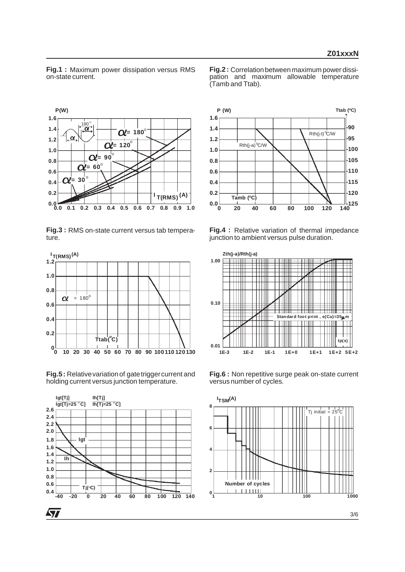**Fig.1 :** Maximum power dissipation versus RMS on-state current.

**Fig.2 :** Correlationbetween maximum power dissipation and maximum allowable temperature (Tamb and Ttab).



**Fig.3 :** RMS on-state current versus tab temperature.



**Fig.5:** Relative variation of gate trigger current and holding current versus junction temperature.





**Fig.4 :** Relative variation of thermal impedance junction to ambient versus pulse duration.



**Fig.6 :** Non repetitive surge peak on-state current versus number of cycles.

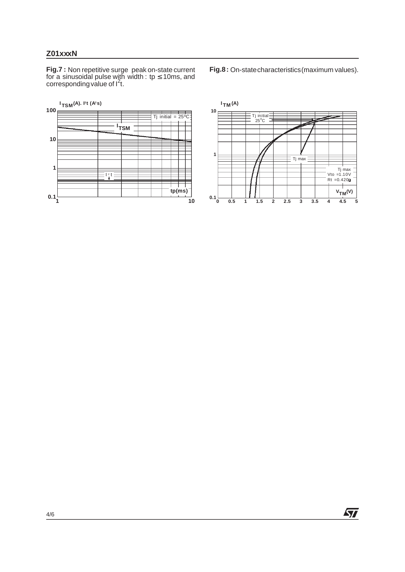# **Z01xxxN**

**Fig.7 :** Non repetitive surge peak on-state current for a sinusoidal pulse with width : tp ≤ 10ms, and<br>corresponding value of l<sup>2</sup>t.

**1 10**  $0.1\frac{1}{1}$ **1 10 100 I (A). I2t (A2 s) TSM**  $\overline{7j}$  initial = 25<sup>o</sup>C **I TSM**  $\equiv$   $\frac{1}{4}$  t  $\equiv$ **tp(ms)**

**Fig.8:** On-statecharacteristics(maximum values).



4/6

ィ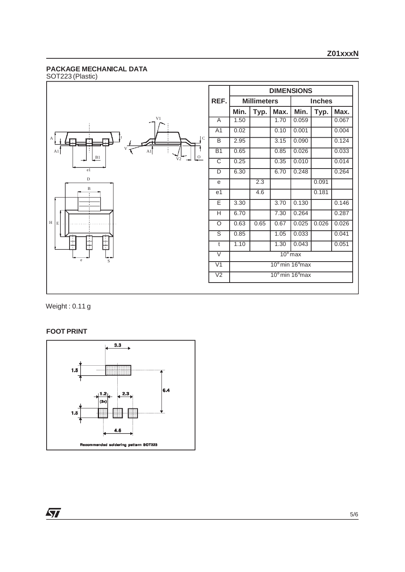## **PACKAGE MECHANICAL DATA**





Weight : 0.11 g

#### **FOOT PRINT**